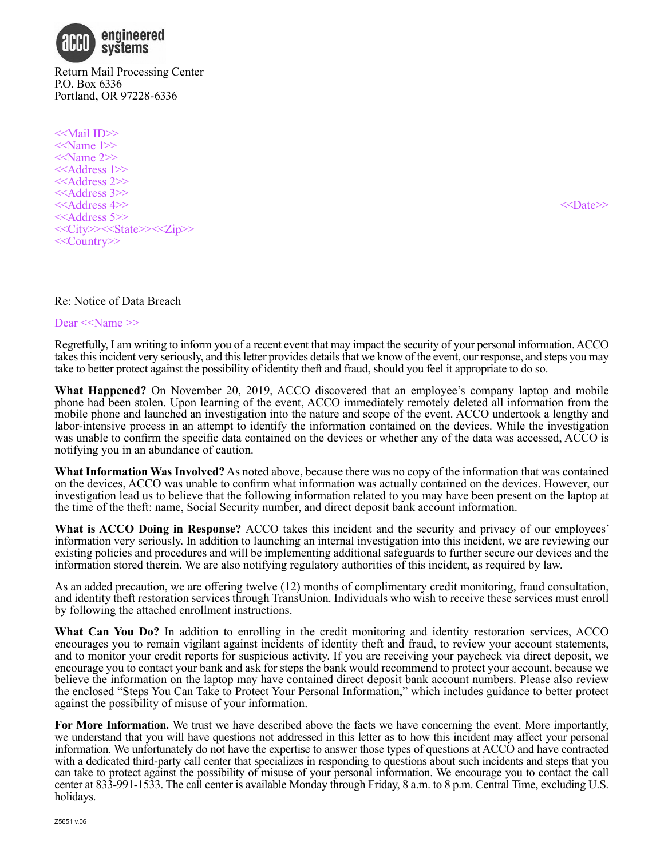

Return Mail Processing Center P.O. Box 6336 Portland, OR 97228-6336

<<Mail ID>>  $\le$ Name 1>> <<Name 2>> <<Address 1>> <<Address 2>> <<Address 3>> <<Address 4>> <<Date>> <<Address 5>> <<City>><<State>><<Zip>> <<Country>>

### Re: Notice of Data Breach

Dear <<Name >>

Regretfully, I am writing to inform you of a recent event that may impact the security of your personal information. ACCO takes this incident very seriously, and this letter provides details that we know of the event, our response, and steps you may take to better protect against the possibility of identity theft and fraud, should you feel it appropriate to do so.

**What Happened?** On November 20, 2019, ACCO discovered that an employee's company laptop and mobile phone had been stolen. Upon learning of the event, ACCO immediately remotely deleted all information from the mobile phone and launched an investigation into the nature and scope of the event. ACCO undertook a lengthy and labor-intensive process in an attempt to identify the information contained on the devices. While the investigation was unable to confirm the specific data contained on the devices or whether any of the data was accessed, ACCO is notifying you in an abundance of caution.

**What Information Was Involved?** As noted above, because there was no copy of the information that was contained on the devices, ACCO was unable to confirm what information was actually contained on the devices. However, our investigation lead us to believe that the following information related to you may have been present on the laptop at the time of the theft: name, Social Security number, and direct deposit bank account information.

**What is ACCO Doing in Response?** ACCO takes this incident and the security and privacy of our employees' information very seriously. In addition to launching an internal investigation into this incident, we are reviewing our existing policies and procedures and will be implementing additional safeguards to further secure our devices and the information stored therein. We are also notifying regulatory authorities of this incident, as required by law.

As an added precaution, we are offering twelve (12) months of complimentary credit monitoring, fraud consultation, and identity theft restoration services through TransUnion. Individuals who wish to receive these services must enroll by following the attached enrollment instructions.

**What Can You Do?** In addition to enrolling in the credit monitoring and identity restoration services, ACCO encourages you to remain vigilant against incidents of identity theft and fraud, to review your account statements, and to monitor your credit reports for suspicious activity. If you are receiving your paycheck via direct deposit, we encourage you to contact your bank and ask for steps the bank would recommend to protect your account, because we believe the information on the laptop may have contained direct deposit bank account numbers. Please also review the enclosed "Steps You Can Take to Protect Your Personal Information," which includes guidance to better protect against the possibility of misuse of your information.

**For More Information.** We trust we have described above the facts we have concerning the event. More importantly, we understand that you will have questions not addressed in this letter as to how this incident may affect your personal information. We unfortunately do not have the expertise to answer those types of questions at ACCO and have contracted with a dedicated third-party call center that specializes in responding to questions about such incidents and steps that you can take to protect against the possibility of misuse of your personal information. We encourage you to contact the call center at 833-991-1533. The call center is available Monday through Friday, 8 a.m. to 8 p.m. Central Time, excluding U.S. holidays.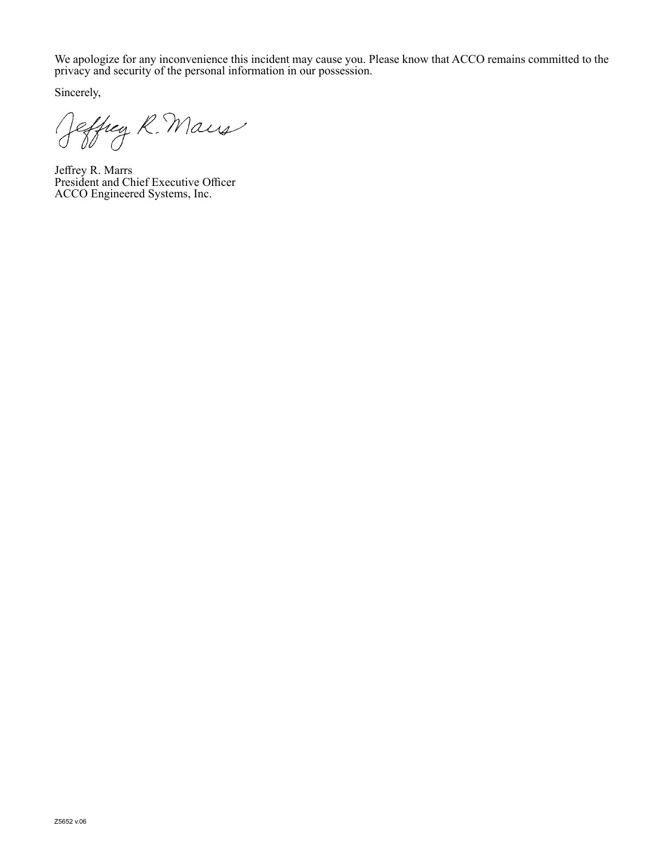We apologize for any inconvenience this incident may cause you. Please know that ACCO remains committed to the privacy and security of the personal information in our possession.

Sincerely,

Jeffrey R. Maris

Jeffrey R. Marrs President and Chief Executive Officer ACCO Engineered Systems, Inc.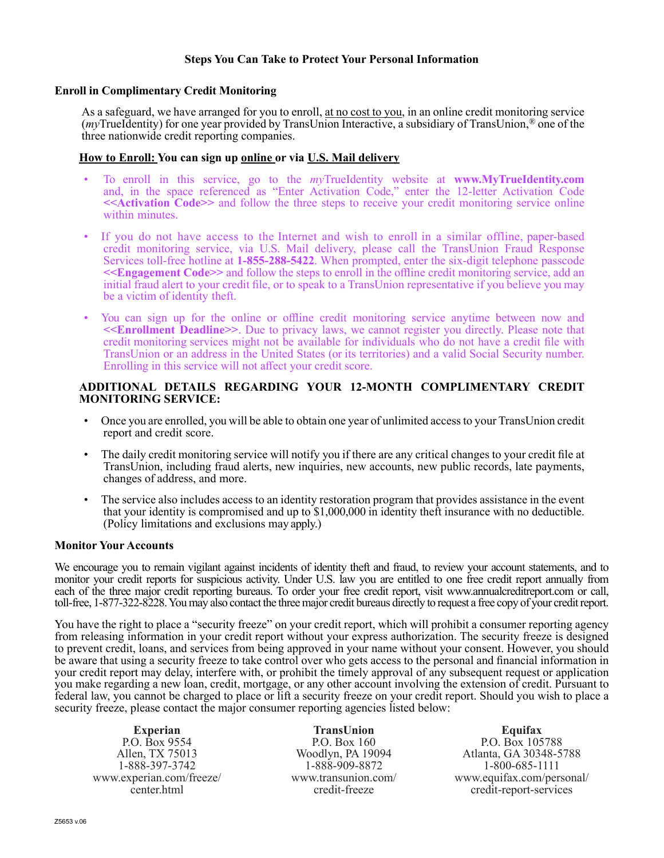### **Steps You Can Take to Protect Your Personal Information**

#### **Enroll in Complimentary Credit Monitoring**

As a safeguard, we have arranged for you to enroll, at no cost to you, in an online credit monitoring service (*my*TrueIdentity) for one year provided by TransUnion Interactive, a subsidiary of TransUnion,® one of the three nationwide credit reporting companies.

### **How to Enroll: You can sign up online or via U.S. Mail delivery**

- To enroll in this service, go to the *my*TrueIdentity website at **www.MyTrueIdentity.com** and, in the space referenced as "Enter Activation Code," enter the 12-letter Activation Code **<<Activation Code>>** and follow the three steps to receive your credit monitoring service online within minutes.
- If you do not have access to the Internet and wish to enroll in a similar offline, paper-based credit monitoring service, via U.S. Mail delivery, please call the TransUnion Fraud Response Services toll-free hotline at **1-855-288-5422**. When prompted, enter the six-digit telephone passcode **<<Engagement Code>>** and follow the steps to enroll in the offline credit monitoring service, add an initial fraud alert to your credit file, or to speak to a TransUnion representative if you believe you may be a victim of identity theft.
- You can sign up for the online or offline credit monitoring service anytime between now and **<<Enrollment Deadline>>**. Due to privacy laws, we cannot register you directly. Please note that credit monitoring services might not be available for individuals who do not have a credit file with TransUnion or an address in the United States (or its territories) and a valid Social Security number. Enrolling in this service will not affect your credit score.

## **ADDITIONAL DETAILS REGARDING YOUR 12-MONTH COMPLIMENTARY CREDIT MONITORING SERVICE:**

- Once you are enrolled, you will be able to obtain one year of unlimited access to your TransUnion credit report and credit score.
- The daily credit monitoring service will notify you if there are any critical changes to your credit file at TransUnion, including fraud alerts, new inquiries, new accounts, new public records, late payments, changes of address, and more.
- The service also includes access to an identity restoration program that provides assistance in the event that your identity is compromised and up to \$1,000,000 in identity theft insurance with no deductible. (Policy limitations and exclusions may apply.)

#### **Monitor Your Accounts**

We encourage you to remain vigilant against incidents of identity theft and fraud, to review your account statements, and to monitor your credit reports for suspicious activity. Under U.S. law you are entitled to one free credit report annually from each of the three major credit reporting bureaus. To order your free credit report, visit www.annualcreditreport.com or call, toll-free, 1-877-322-8228. You may also contact the three major credit bureaus directly to request a free copy of your credit report.

You have the right to place a "security freeze" on your credit report, which will prohibit a consumer reporting agency from releasing information in your credit report without your express authorization. The security freeze is designed to prevent credit, loans, and services from being approved in your name without your consent. However, you should be aware that using a security freeze to take control over who gets access to the personal and financial information in your credit report may delay, interfere with, or prohibit the timely approval of any subsequent request or application you make regarding a new loan, credit, mortgage, or any other account involving the extension of credit. Pursuant to federal law, you cannot be charged to place or lift a security freeze on your credit report. Should you wish to place a security freeze, please contact the major consumer reporting agencies listed below:

**Experian** P.O. Box 9554 Allen, TX 75013 1-888-397-3742 www.experian.com/freeze/ center.html

**TransUnion** P.O. Box 160 Woodlyn, PA 19094 1-888-909-8872 www.transunion.com/ credit-freeze

**Equifax** P.O. Box 105788 Atlanta, GA 30348-5788 1-800-685-1111 www.equifax.com/personal/ credit-report-services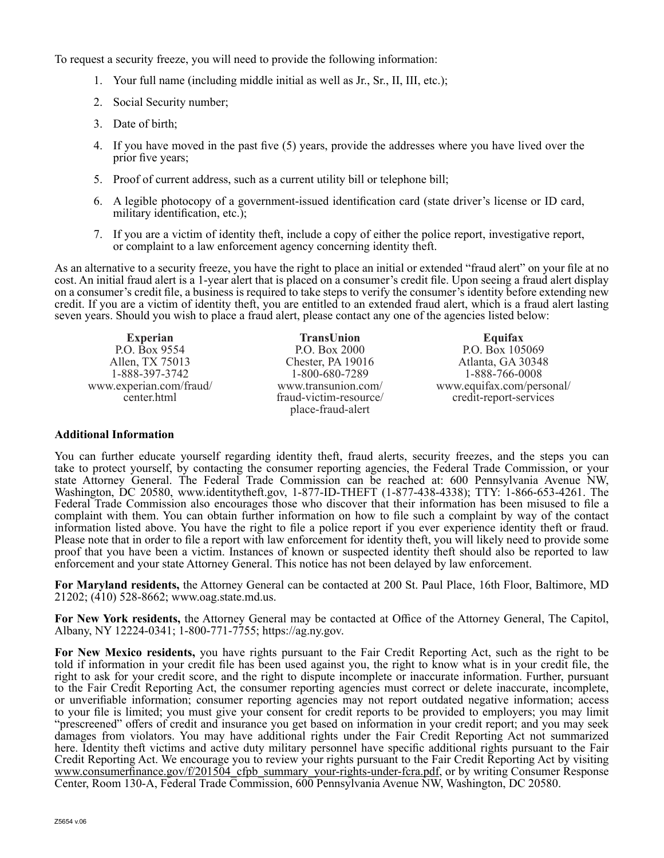To request a security freeze, you will need to provide the following information:

- 1. Your full name (including middle initial as well as Jr., Sr., II, III, etc.);
- 2. Social Security number;
- 3. Date of birth;
- 4. If you have moved in the past five (5) years, provide the addresses where you have lived over the prior five years;
- 5. Proof of current address, such as a current utility bill or telephone bill;
- 6. A legible photocopy of a government-issued identification card (state driver's license or ID card, military identification, etc.);
- 7. If you are a victim of identity theft, include a copy of either the police report, investigative report, or complaint to a law enforcement agency concerning identity theft.

As an alternative to a security freeze, you have the right to place an initial or extended "fraud alert" on your file at no cost. An initial fraud alert is a 1-year alert that is placed on a consumer's credit file. Upon seeing a fraud alert display on a consumer's credit file, a business is required to take steps to verify the consumer's identity before extending new credit. If you are a victim of identity theft, you are entitled to an extended fraud alert, which is a fraud alert lasting seven years. Should you wish to place a fraud alert, please contact any one of the agencies listed below:

**Experian** P.O. Box 9554 Allen, TX 75013 1-888-397-3742 www.experian.com/fraud/ center.html

**TransUnion** P.O. Box 2000 Chester, PA 19016 1-800-680-7289 www.transunion.com/ fraud-victim-resource/ place-fraud-alert

**Equifax** P.O. Box 105069 Atlanta, GA 30348 1-888-766-0008 www.equifax.com/personal/ credit-report-services

# **Additional Information**

You can further educate yourself regarding identity theft, fraud alerts, security freezes, and the steps you can take to protect yourself, by contacting the consumer reporting agencies, the Federal Trade Commission, or your state Attorney General. The Federal Trade Commission can be reached at: 600 Pennsylvania Avenue NW, Washington, DC 20580, www.identitytheft.gov, 1-877-ID-THEFT (1-877-438-4338); TTY: 1-866-653-4261. The Federal Trade Commission also encourages those who discover that their information has been misused to file a complaint with them. You can obtain further information on how to file such a complaint by way of the contact information listed above. You have the right to file a police report if you ever experience identity theft or fraud. Please note that in order to file a report with law enforcement for identity theft, you will likely need to provide some proof that you have been a victim. Instances of known or suspected identity theft should also be reported to law enforcement and your state Attorney General. This notice has not been delayed by law enforcement.

**For Maryland residents,** the Attorney General can be contacted at 200 St. Paul Place, 16th Floor, Baltimore, MD 21202; (410) 528-8662; www.oag.state.md.us.

**For New York residents,** the Attorney General may be contacted at Office of the Attorney General, The Capitol, Albany, NY 12224-0341; 1-800-771-7755; https://ag.ny.gov.

**For New Mexico residents,** you have rights pursuant to the Fair Credit Reporting Act, such as the right to be told if information in your credit file has been used against you, the right to know what is in your credit file, the right to ask for your credit score, and the right to dispute incomplete or inaccurate information. Further, pursuant to the Fair Credit Reporting Act, the consumer reporting agencies must correct or delete inaccurate, incomplete, or unverifiable information; consumer reporting agencies may not report outdated negative information; access to your file is limited; you must give your consent for credit reports to be provided to employers; you may limit "prescreened" offers of credit and insurance you get based on information in your credit report; and you may seek damages from violators. You may have additional rights under the Fair Credit Reporting Act not summarized here. Identity theft victims and active duty military personnel have specific additional rights pursuant to the Fair Credit Reporting Act. We encourage you to review your rights pursuant to the Fair Credit Reporting Act by visiting www.consumerfinance.gov/f/201504\_cfpb\_summary\_your-rights-under-fcra.pdf, or by writing Consumer Response Center, Room 130-A, Federal Trade Commission, 600 Pennsylvania Avenue NW, Washington, DC 20580.